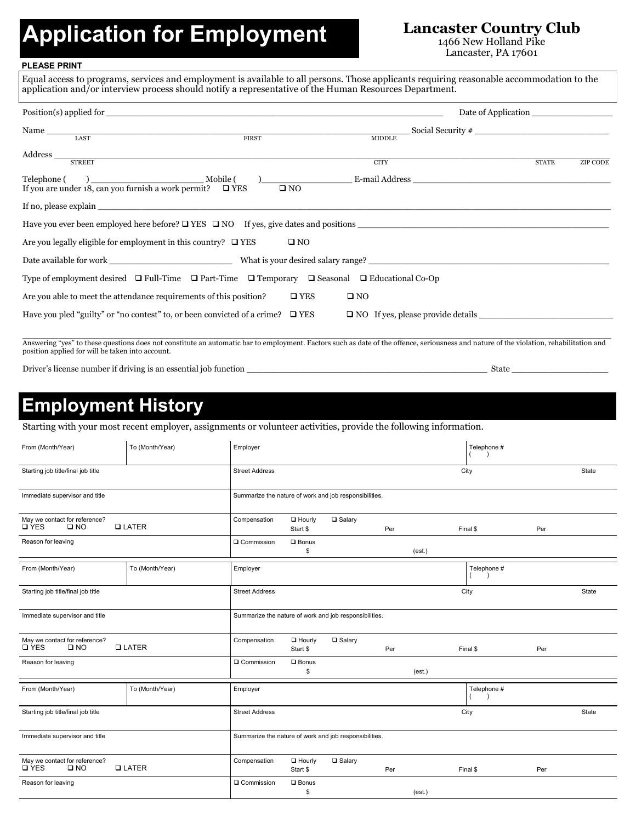# Application for Employment Lancaster Country Club

1466 New Holland Pike Lancaster, PA 17601

#### **PLEASE PRINT**

|                                                                                                                        |                                                                                     |                                                                                                | Date of Application |                 |  |  |  |  |
|------------------------------------------------------------------------------------------------------------------------|-------------------------------------------------------------------------------------|------------------------------------------------------------------------------------------------|---------------------|-----------------|--|--|--|--|
|                                                                                                                        |                                                                                     |                                                                                                |                     |                 |  |  |  |  |
|                                                                                                                        |                                                                                     |                                                                                                |                     |                 |  |  |  |  |
| $\textit{Address} \textcolor{red}{\overbrace{\text{STREET}}}$                                                          |                                                                                     | <b>CITY</b>                                                                                    | <b>STATE</b>        | <b>ZIP CODE</b> |  |  |  |  |
|                                                                                                                        |                                                                                     |                                                                                                |                     |                 |  |  |  |  |
|                                                                                                                        |                                                                                     |                                                                                                |                     |                 |  |  |  |  |
|                                                                                                                        |                                                                                     | Have you ever been employed here before? $\Box$ YES $\Box$ NO If yes, give dates and positions |                     |                 |  |  |  |  |
| Are you legally eligible for employment in this country? $\Box$ YES                                                    | $\square$ NO                                                                        |                                                                                                |                     |                 |  |  |  |  |
|                                                                                                                        |                                                                                     |                                                                                                |                     |                 |  |  |  |  |
| Type of employment desired $\Box$ Full-Time $\Box$ Part-Time $\Box$ Temporary $\Box$ Seasonal $\Box$ Educational Co-Op |                                                                                     |                                                                                                |                     |                 |  |  |  |  |
| Are you able to meet the attendance requirements of this position?                                                     | $\square$ YES                                                                       | $\square$ NO                                                                                   |                     |                 |  |  |  |  |
|                                                                                                                        | Have you pled "guilty" or "no contest" to, or been convicted of a crime? $\Box$ YES |                                                                                                |                     |                 |  |  |  |  |

Driver's license number if driving is an essential job function \_\_\_\_\_\_\_\_\_\_\_\_\_\_\_\_\_\_\_\_\_\_\_\_\_\_\_\_\_\_\_\_\_\_\_\_\_\_\_\_\_\_\_\_\_ State \_\_\_\_\_\_\_\_\_\_\_\_\_\_\_\_\_\_

## **Employment History**

Starting with your most recent employer, assignments or volunteer activities, provide the following information.

 $\mathbb{R}^2$ 

| From (Month/Year)                                             | To (Month/Year) | Employer                                               |                           |          |     |        | Telephone # |     |       |
|---------------------------------------------------------------|-----------------|--------------------------------------------------------|---------------------------|----------|-----|--------|-------------|-----|-------|
| Starting job title/final job title                            |                 | <b>Street Address</b>                                  |                           |          |     |        | City        |     | State |
| Immediate supervisor and title                                |                 | Summarize the nature of work and job responsibilities. |                           |          |     |        |             |     |       |
| May we contact for reference?<br><b>Q</b> YES<br>$\square$ NO | <b>Q LATER</b>  | Compensation                                           | $\Box$ Hourly<br>Start \$ | □ Salary | Per |        | Final \$    | Per |       |
| Reason for leaving                                            |                 | Q Commission                                           | $\square$ Bonus<br>\$     |          |     | (est.) |             |     |       |
| From (Month/Year)                                             | To (Month/Year) | Employer                                               |                           |          |     |        | Telephone # |     |       |
| Starting job title/final job title                            |                 | <b>Street Address</b>                                  |                           |          |     |        | City        |     | State |
| Immediate supervisor and title                                |                 | Summarize the nature of work and job responsibilities. |                           |          |     |        |             |     |       |
| May we contact for reference?<br><b>D</b> YES<br>$\square$ NO | <b>QLATER</b>   | Compensation                                           | $\Box$ Hourly<br>Start \$ | □ Salary | Per |        | Final \$    | Per |       |
| Reason for leaving                                            |                 | Q Commission                                           | $\square$ Bonus<br>\$     |          |     | (est.) |             |     |       |
| From (Month/Year)                                             | To (Month/Year) | Employer                                               |                           |          |     |        | Telephone # |     |       |
| Starting job title/final job title                            |                 | <b>Street Address</b>                                  |                           |          |     |        | City        |     | State |
| Immediate supervisor and title                                |                 | Summarize the nature of work and job responsibilities. |                           |          |     |        |             |     |       |
| May we contact for reference?<br><b>Q</b> YES<br>$\square$ NO | <b>Q LATER</b>  | Compensation                                           | $\Box$ Hourly<br>Start \$ | □ Salary | Per |        | Final \$    | Per |       |
| Reason for leaving                                            |                 | Q Commission                                           | $\square$ Bonus<br>\$     |          |     | (est.) |             |     |       |